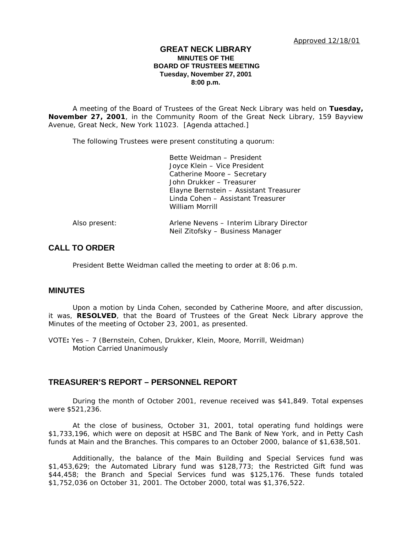## **GREAT NECK LIBRARY MINUTES OF THE BOARD OF TRUSTEES MEETING Tuesday, November 27, 2001 8:00 p.m.**

A meeting of the Board of Trustees of the Great Neck Library was held on **Tuesday, November 27, 2001**, in the Community Room of the Great Neck Library, 159 Bayview Avenue, Great Neck, New York 11023. [Agenda attached.]

The following Trustees were present constituting a quorum:

|               | Bette Weidman - President                |
|---------------|------------------------------------------|
|               | Joyce Klein - Vice President             |
|               | Catherine Moore - Secretary              |
|               | John Drukker - Treasurer                 |
|               | Elayne Bernstein – Assistant Treasurer   |
|               | Linda Cohen - Assistant Treasurer        |
|               | William Morrill                          |
| Also present: | Arlene Nevens – Interim Library Director |
|               | Neil Zitofsky - Business Manager         |

# **CALL TO ORDER**

President Bette Weidman called the meeting to order at 8:06 p.m.

# **MINUTES**

Upon a motion by Linda Cohen, seconded by Catherine Moore, and after discussion, it was, **RESOLVED**, that the Board of Trustees of the Great Neck Library approve the Minutes of the meeting of October 23, 2001, as presented.

VOTE**:** Yes – 7 (Bernstein, Cohen, Drukker, Klein, Moore, Morrill, Weidman) *Motion Carried Unanimously*

# **TREASURER'S REPORT – PERSONNEL REPORT**

During the month of October 2001, revenue received was \$41,849. Total expenses were \$521,236.

At the close of business, October 31, 2001, total operating fund holdings were \$1,733,196, which were on deposit at HSBC and The Bank of New York, and in Petty Cash funds at Main and the Branches. This compares to an October 2000, balance of \$1,638,501.

Additionally, the balance of the Main Building and Special Services fund was \$1,453,629; the Automated Library fund was \$128,773; the Restricted Gift fund was \$44,458; the Branch and Special Services fund was \$125,176. These funds totaled \$1,752,036 on October 31, 2001. The October 2000, total was \$1,376,522.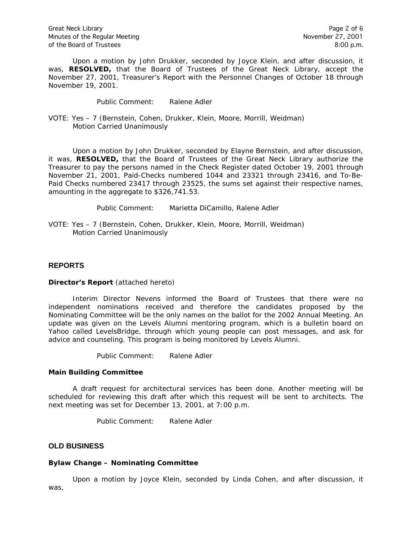Great Neck Library Page 2 of 6<br>Minutes of the Regular Meeting example and the Network Page 2 of 6 Minutes of the Regular Meeting of the Board of Trustees 8:00 p.m.

Upon a motion by John Drukker, seconded by Joyce Klein, and after discussion, it was, **RESOLVED,** that the Board of Trustees of the Great Neck Library, accept the November 27, 2001, Treasurer's Report with the Personnel Changes of October 18 through November 19, 2001.

Public Comment: Ralene Adler

VOTE: Yes – 7 (Bernstein, Cohen, Drukker, Klein, Moore, Morrill, Weidman) *Motion Carried Unanimously*

Upon a motion by John Drukker, seconded by Elayne Bernstein, and after discussion, it was, **RESOLVED,** that the Board of Trustees of the Great Neck Library authorize the Treasurer to pay the persons named in the Check Register dated October 19, 2001 through November 21, 2001, Paid-Checks numbered 1044 and 23321 through 23416, and To-Be-Paid Checks numbered 23417 through 23525, the sums set against their respective names, amounting in the aggregate to \$326,741.53.

Public Comment: Marietta DiCamillo, Ralene Adler

VOTE: Yes – 7 (Bernstein, Cohen, Drukker, Klein, Moore, Morrill, Weidman) *Motion Carried Unanimously*

## **REPORTS**

#### **Director's Report** (attached hereto)

Interim Director Nevens informed the Board of Trustees that there were no independent nominations received and therefore the candidates proposed by the Nominating Committee will be the only names on the ballot for the 2002 Annual Meeting. An update was given on the Levels Alumni mentoring program, which is a bulletin board on Yahoo called LevelsBridge, through which young people can post messages, and ask for advice and counseling. This program is being monitored by Levels Alumni.

Public Comment: Ralene Adler

#### **Main Building Committee**

A draft request for architectural services has been done. Another meeting will be scheduled for reviewing this draft after which this request will be sent to architects. The next meeting was set for December 13, 2001, at 7:00 p.m.

Public Comment: Ralene Adler

### **OLD BUSINESS**

#### **Bylaw Change – Nominating Committee**

Upon a motion by Joyce Klein, seconded by Linda Cohen, and after discussion, it was,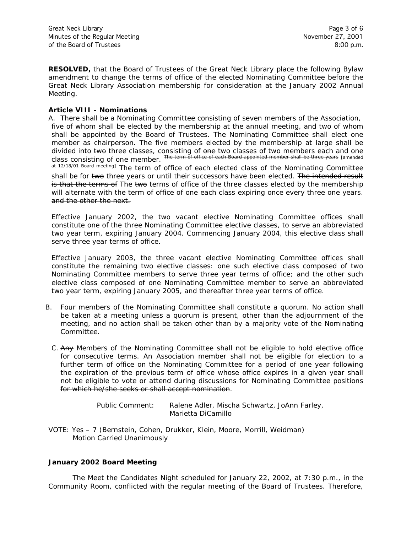**RESOLVED,** that the Board of Trustees of the Great Neck Library place the following Bylaw amendment to change the terms of office of the elected Nominating Committee before the Great Neck Library Association membership for consideration at the January 2002 Annual Meeting.

## **Article VIII - Nominations**

A. There shall be a Nominating Committee consisting of seven members of the Association, five of whom shall be elected by the membership at the annual meeting, and two of whom shall be appointed by the Board of Trustees. The Nominating Committee shall elect one member as chairperson. The five members elected by the membership at large shall be divided into two *three* class*es, consisting of* one *two* class*es of two* members *each and one class consisting of one member*. The term of office of each Board appointed member shall be three years [amended

at 12/18/01 Board meeting] The term of office of each elected class of the Nominating Committee shall be for two *three* years or until their successors have been elected. The intended result is that the terms of The two *terms of office of the three* classes elected by the membership will alternate with *the term of office of one each* class expiring *once every three one years*. and the other the next.

*Effective January 2002, the two vacant elective Nominating Committee offices shall constitute one of the three Nominating Committee elective classes, to serve an abbreviated two year term, expiring January 2004. Commencing January 2004, this elective class shall serve three year terms of office.*

*Effective January 2003, the three vacant elective Nominating Committee offices shall constitute the remaining two elective classes: one such elective class composed of two Nominating Committee members to serve three year terms of office; and the other such elective class composed of one Nominating Committee member to serve an abbreviated two year term, expiring January 2005, and thereafter three year terms of office.*

- B. Four members of the Nominating Committee shall constitute a quorum. No action shall be taken at a meeting unless a quorum is present, other than the adjournment of the meeting, and no action shall be taken other than by a majority vote of the Nominating Committee.
	- C. Any Member*s* of the Nominating Committee *shall not be eligible to hold elective office for consecutive terms. An Association member shall not be eligible for election to a*  further term of office on the Nominating Committee for a period of one year following *the expiration of the previous term of office whose office expires in a given year shall not be eligible to vote or attend during discussions for Nominating Committee positions for which he/she seeks or shall accept nomination.*

Public Comment: Ralene Adler, Mischa Schwartz, JoAnn Farley, Marietta DiCamillo

VOTE: Yes – 7 (Bernstein, Cohen, Drukker, Klein, Moore, Morrill, Weidman) *Motion Carried Unanimously*

#### **January 2002 Board Meeting**

The Meet the Candidates Night scheduled for January 22, 2002, at 7:30 p.m., in the Community Room, conflicted with the regular meeting of the Board of Trustees. Therefore,